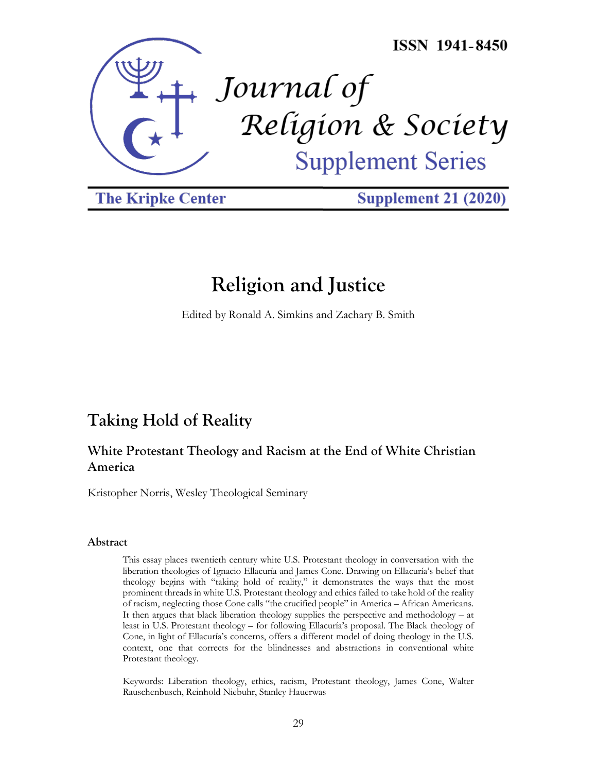

**The Kripke Center** 

**Supplement 21 (2020)** 

# **Religion and Justice**

Edited by Ronald A. Simkins and Zachary B. Smith

# **Taking Hold of Reality**

# **White Protestant Theology and Racism at the End of White Christian America**

Kristopher Norris, Wesley Theological Seminary

#### **Abstract**

This essay places twentieth century white U.S. Protestant theology in conversation with the liberation theologies of Ignacio Ellacuría and James Cone. Drawing on Ellacuría's belief that theology begins with "taking hold of reality," it demonstrates the ways that the most prominent threads in white U.S. Protestant theology and ethics failed to take hold of the reality of racism, neglecting those Cone calls "the crucified people" in America – African Americans. It then argues that black liberation theology supplies the perspective and methodology – at least in U.S. Protestant theology – for following Ellacuría's proposal. The Black theology of Cone, in light of Ellacuría's concerns, offers a different model of doing theology in the U.S. context, one that corrects for the blindnesses and abstractions in conventional white Protestant theology.

Keywords: Liberation theology, ethics, racism, Protestant theology, James Cone, Walter Rauschenbusch, Reinhold Niebuhr, Stanley Hauerwas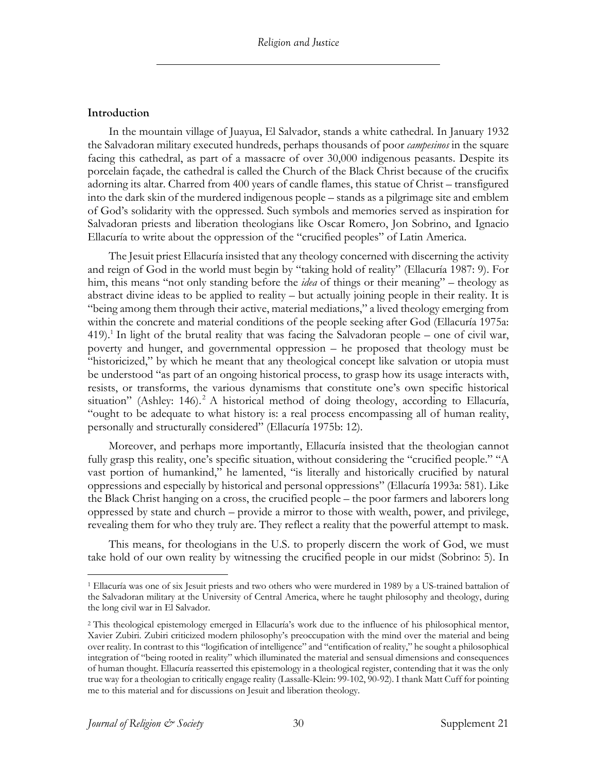#### **Introduction**

In the mountain village of Juayua, El Salvador, stands a white cathedral. In January 1932 the Salvadoran military executed hundreds, perhaps thousands of poor *campesinos* in the square facing this cathedral, as part of a massacre of over 30,000 indigenous peasants. Despite its porcelain façade, the cathedral is called the Church of the Black Christ because of the crucifix adorning its altar. Charred from 400 years of candle flames, this statue of Christ – transfigured into the dark skin of the murdered indigenous people – stands as a pilgrimage site and emblem of God's solidarity with the oppressed. Such symbols and memories served as inspiration for Salvadoran priests and liberation theologians like Oscar Romero, Jon Sobrino, and Ignacio Ellacuría to write about the oppression of the "crucified peoples" of Latin America.

The Jesuit priest Ellacuría insisted that any theology concerned with discerning the activity and reign of God in the world must begin by "taking hold of reality" (Ellacuría 1987: 9). For him, this means "not only standing before the *idea* of things or their meaning" – theology as abstract divine ideas to be applied to reality – but actually joining people in their reality. It is "being among them through their active, material mediations," a lived theology emerging from within the concrete and material conditions of the people seeking after God (Ellacuría 1975a: 419). <sup>1</sup> In light of the brutal reality that was facing the Salvadoran people – one of civil war, poverty and hunger, and governmental oppression – he proposed that theology must be "historicized," by which he meant that any theological concept like salvation or utopia must be understood "as part of an ongoing historical process, to grasp how its usage interacts with, resists, or transforms, the various dynamisms that constitute one's own specific historical situation" (Ashley: 146).<sup>2</sup> A historical method of doing theology, according to Ellacuría, "ought to be adequate to what history is: a real process encompassing all of human reality, personally and structurally considered" (Ellacuría 1975b: 12).

Moreover, and perhaps more importantly, Ellacuría insisted that the theologian cannot fully grasp this reality, one's specific situation, without considering the "crucified people." "A vast portion of humankind," he lamented, "is literally and historically crucified by natural oppressions and especially by historical and personal oppressions" (Ellacuría 1993a: 581). Like the Black Christ hanging on a cross, the crucified people – the poor farmers and laborers long oppressed by state and church – provide a mirror to those with wealth, power, and privilege, revealing them for who they truly are. They reflect a reality that the powerful attempt to mask.

This means, for theologians in the U.S. to properly discern the work of God, we must take hold of our own reality by witnessing the crucified people in our midst (Sobrino: 5). In

<sup>1</sup> Ellacuría was one of six Jesuit priests and two others who were murdered in 1989 by a US-trained battalion of the Salvadoran military at the University of Central America, where he taught philosophy and theology, during the long civil war in El Salvador.

<sup>2</sup> This theological epistemology emerged in Ellacuría's work due to the influence of his philosophical mentor, Xavier Zubiri. Zubiri criticized modern philosophy's preoccupation with the mind over the material and being over reality. In contrast to this "logification of intelligence" and "entification of reality," he sought a philosophical integration of "being rooted in reality" which illuminated the material and sensual dimensions and consequences of human thought. Ellacuría reasserted this epistemology in a theological register, contending that it was the only true way for a theologian to critically engage reality (Lassalle-Klein: 99-102, 90-92). I thank Matt Cuff for pointing me to this material and for discussions on Jesuit and liberation theology.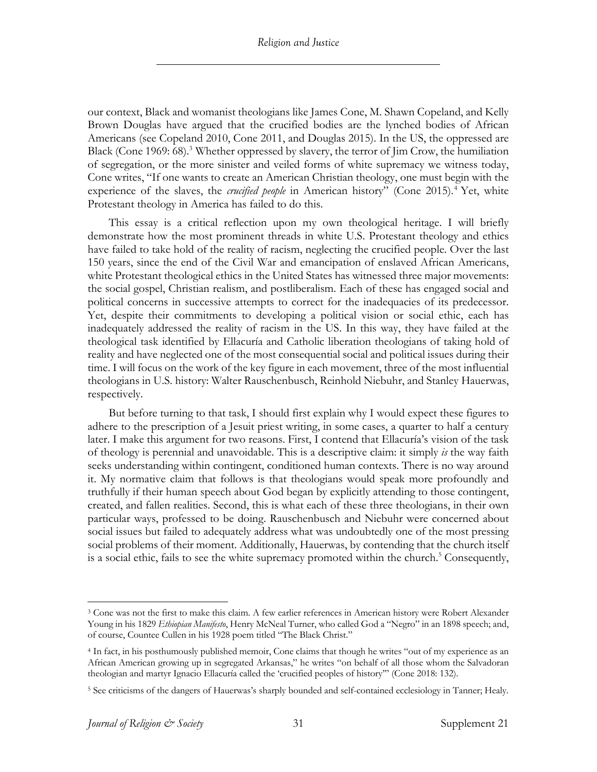our context, Black and womanist theologians like James Cone, M. Shawn Copeland, and Kelly Brown Douglas have argued that the crucified bodies are the lynched bodies of African Americans (see Copeland 2010, Cone 2011, and Douglas 2015). In the US, the oppressed are Black (Cone 1969: 68). <sup>3</sup> Whether oppressed by slavery, the terror of Jim Crow, the humiliation of segregation, or the more sinister and veiled forms of white supremacy we witness today, Cone writes, "If one wants to create an American Christian theology, one must begin with the experience of the slaves, the *crucified people* in American history" (Cone 2015).<sup>4</sup> Yet, white Protestant theology in America has failed to do this.

This essay is a critical reflection upon my own theological heritage. I will briefly demonstrate how the most prominent threads in white U.S. Protestant theology and ethics have failed to take hold of the reality of racism, neglecting the crucified people. Over the last 150 years, since the end of the Civil War and emancipation of enslaved African Americans, white Protestant theological ethics in the United States has witnessed three major movements: the social gospel, Christian realism, and postliberalism. Each of these has engaged social and political concerns in successive attempts to correct for the inadequacies of its predecessor. Yet, despite their commitments to developing a political vision or social ethic, each has inadequately addressed the reality of racism in the US. In this way, they have failed at the theological task identified by Ellacuría and Catholic liberation theologians of taking hold of reality and have neglected one of the most consequential social and political issues during their time. I will focus on the work of the key figure in each movement, three of the most influential theologians in U.S. history: Walter Rauschenbusch, Reinhold Niebuhr, and Stanley Hauerwas, respectively.

But before turning to that task, I should first explain why I would expect these figures to adhere to the prescription of a Jesuit priest writing, in some cases, a quarter to half a century later. I make this argument for two reasons. First, I contend that Ellacuría's vision of the task of theology is perennial and unavoidable. This is a descriptive claim: it simply *is* the way faith seeks understanding within contingent, conditioned human contexts. There is no way around it. My normative claim that follows is that theologians would speak more profoundly and truthfully if their human speech about God began by explicitly attending to those contingent, created, and fallen realities. Second, this is what each of these three theologians, in their own particular ways, professed to be doing. Rauschenbusch and Niebuhr were concerned about social issues but failed to adequately address what was undoubtedly one of the most pressing social problems of their moment. Additionally, Hauerwas, by contending that the church itself is a social ethic, fails to see the white supremacy promoted within the church.<sup>5</sup> Consequently,

<sup>3</sup> Cone was not the first to make this claim. A few earlier references in American history were Robert Alexander Young in his 1829 *Ethiopian Manifesto*, Henry McNeal Turner, who called God a "Negro" in an 1898 speech; and, of course, Countee Cullen in his 1928 poem titled "The Black Christ."

<sup>4</sup> In fact, in his posthumously published memoir, Cone claims that though he writes "out of my experience as an African American growing up in segregated Arkansas," he writes "on behalf of all those whom the Salvadoran theologian and martyr Ignacio Ellacuría called the 'crucified peoples of history'" (Cone 2018: 132).

<sup>5</sup> See criticisms of the dangers of Hauerwas's sharply bounded and self-contained ecclesiology in Tanner; Healy.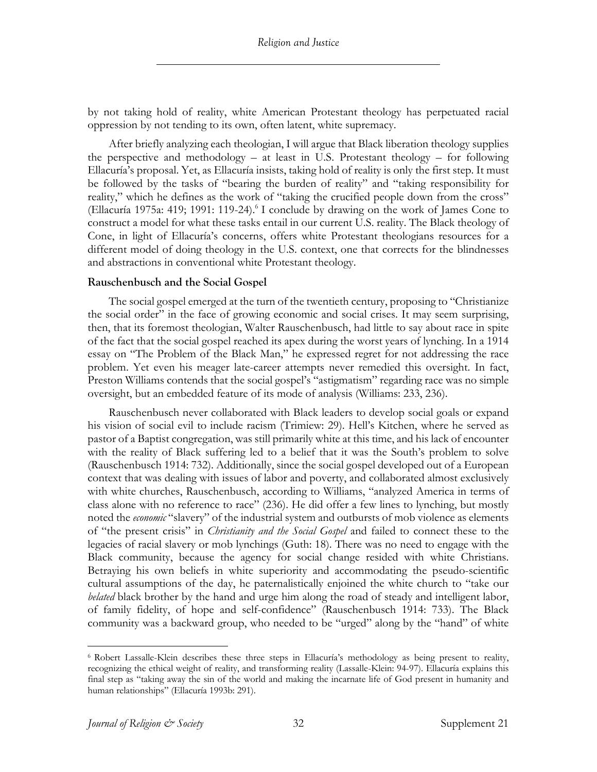by not taking hold of reality, white American Protestant theology has perpetuated racial oppression by not tending to its own, often latent, white supremacy.

After briefly analyzing each theologian, I will argue that Black liberation theology supplies the perspective and methodology – at least in U.S. Protestant theology – for following Ellacuría's proposal. Yet, as Ellacuría insists, taking hold of reality is only the first step. It must be followed by the tasks of "bearing the burden of reality" and "taking responsibility for reality," which he defines as the work of "taking the crucified people down from the cross" (Ellacuría 1975a: 419; 1991: 119-24).6 I conclude by drawing on the work of James Cone to construct a model for what these tasks entail in our current U.S. reality. The Black theology of Cone, in light of Ellacuría's concerns, offers white Protestant theologians resources for a different model of doing theology in the U.S. context, one that corrects for the blindnesses and abstractions in conventional white Protestant theology.

#### **Rauschenbusch and the Social Gospel**

The social gospel emerged at the turn of the twentieth century, proposing to "Christianize the social order" in the face of growing economic and social crises. It may seem surprising, then, that its foremost theologian, Walter Rauschenbusch, had little to say about race in spite of the fact that the social gospel reached its apex during the worst years of lynching. In a 1914 essay on "The Problem of the Black Man," he expressed regret for not addressing the race problem. Yet even his meager late-career attempts never remedied this oversight. In fact, Preston Williams contends that the social gospel's "astigmatism" regarding race was no simple oversight, but an embedded feature of its mode of analysis (Williams: 233, 236).

Rauschenbusch never collaborated with Black leaders to develop social goals or expand his vision of social evil to include racism (Trimiew: 29). Hell's Kitchen, where he served as pastor of a Baptist congregation, was still primarily white at this time, and his lack of encounter with the reality of Black suffering led to a belief that it was the South's problem to solve (Rauschenbusch 1914: 732). Additionally, since the social gospel developed out of a European context that was dealing with issues of labor and poverty, and collaborated almost exclusively with white churches, Rauschenbusch, according to Williams, "analyzed America in terms of class alone with no reference to race" (236). He did offer a few lines to lynching, but mostly noted the *economic* "slavery" of the industrial system and outbursts of mob violence as elements of "the present crisis" in *Christianity and the Social Gospel* and failed to connect these to the legacies of racial slavery or mob lynchings (Guth: 18). There was no need to engage with the Black community, because the agency for social change resided with white Christians. Betraying his own beliefs in white superiority and accommodating the pseudo-scientific cultural assumptions of the day, he paternalistically enjoined the white church to "take our *belated* black brother by the hand and urge him along the road of steady and intelligent labor, of family fidelity, of hope and self-confidence" (Rauschenbusch 1914: 733). The Black community was a backward group, who needed to be "urged" along by the "hand" of white

<sup>6</sup> Robert Lassalle-Klein describes these three steps in Ellacuría's methodology as being present to reality, recognizing the ethical weight of reality, and transforming reality (Lassalle-Klein: 94-97). Ellacuría explains this final step as "taking away the sin of the world and making the incarnate life of God present in humanity and human relationships" (Ellacuría 1993b: 291).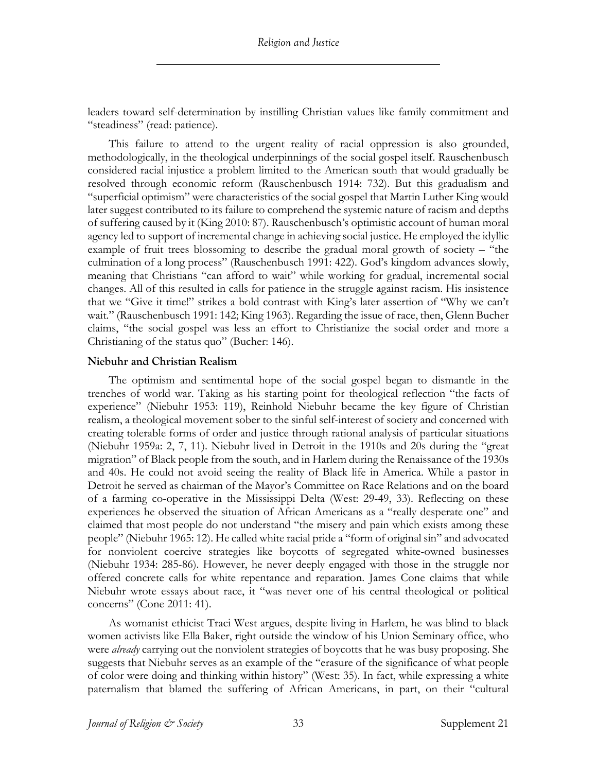leaders toward self-determination by instilling Christian values like family commitment and "steadiness" (read: patience).

This failure to attend to the urgent reality of racial oppression is also grounded, methodologically, in the theological underpinnings of the social gospel itself. Rauschenbusch considered racial injustice a problem limited to the American south that would gradually be resolved through economic reform (Rauschenbusch 1914: 732). But this gradualism and "superficial optimism" were characteristics of the social gospel that Martin Luther King would later suggest contributed to its failure to comprehend the systemic nature of racism and depths of suffering caused by it (King 2010: 87). Rauschenbusch's optimistic account of human moral agency led to support of incremental change in achieving social justice. He employed the idyllic example of fruit trees blossoming to describe the gradual moral growth of society – "the culmination of a long process" (Rauschenbusch 1991: 422). God's kingdom advances slowly, meaning that Christians "can afford to wait" while working for gradual, incremental social changes. All of this resulted in calls for patience in the struggle against racism. His insistence that we "Give it time!" strikes a bold contrast with King's later assertion of "Why we can't wait." (Rauschenbusch 1991: 142; King 1963). Regarding the issue of race, then, Glenn Bucher claims, "the social gospel was less an effort to Christianize the social order and more a Christianing of the status quo" (Bucher: 146).

#### **Niebuhr and Christian Realism**

The optimism and sentimental hope of the social gospel began to dismantle in the trenches of world war. Taking as his starting point for theological reflection "the facts of experience" (Niebuhr 1953: 119), Reinhold Niebuhr became the key figure of Christian realism, a theological movement sober to the sinful self-interest of society and concerned with creating tolerable forms of order and justice through rational analysis of particular situations (Niebuhr 1959a: 2, 7, 11). Niebuhr lived in Detroit in the 1910s and 20s during the "great migration" of Black people from the south, and in Harlem during the Renaissance of the 1930s and 40s. He could not avoid seeing the reality of Black life in America. While a pastor in Detroit he served as chairman of the Mayor's Committee on Race Relations and on the board of a farming co-operative in the Mississippi Delta (West: 29-49, 33). Reflecting on these experiences he observed the situation of African Americans as a "really desperate one" and claimed that most people do not understand "the misery and pain which exists among these people" (Niebuhr 1965: 12). He called white racial pride a "form of original sin" and advocated for nonviolent coercive strategies like boycotts of segregated white-owned businesses (Niebuhr 1934: 285-86). However, he never deeply engaged with those in the struggle nor offered concrete calls for white repentance and reparation. James Cone claims that while Niebuhr wrote essays about race, it "was never one of his central theological or political concerns" (Cone 2011: 41).

As womanist ethicist Traci West argues, despite living in Harlem, he was blind to black women activists like Ella Baker, right outside the window of his Union Seminary office, who were *already* carrying out the nonviolent strategies of boycotts that he was busy proposing. She suggests that Niebuhr serves as an example of the "erasure of the significance of what people of color were doing and thinking within history" (West: 35). In fact, while expressing a white paternalism that blamed the suffering of African Americans, in part, on their "cultural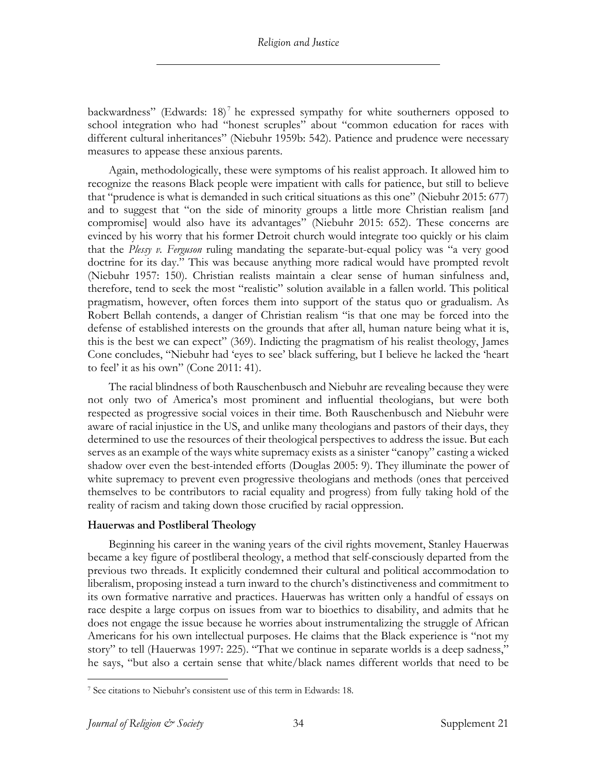backwardness" (Edwards: 18)<sup>7</sup> he expressed sympathy for white southerners opposed to school integration who had "honest scruples" about "common education for races with different cultural inheritances" (Niebuhr 1959b: 542). Patience and prudence were necessary measures to appease these anxious parents.

Again, methodologically, these were symptoms of his realist approach. It allowed him to recognize the reasons Black people were impatient with calls for patience, but still to believe that "prudence is what is demanded in such critical situations as this one" (Niebuhr 2015: 677) and to suggest that "on the side of minority groups a little more Christian realism [and compromise] would also have its advantages" (Niebuhr 2015: 652). These concerns are evinced by his worry that his former Detroit church would integrate too quickly or his claim that the *Plessy v. Ferguson* ruling mandating the separate-but-equal policy was "a very good doctrine for its day." This was because anything more radical would have prompted revolt (Niebuhr 1957: 150). Christian realists maintain a clear sense of human sinfulness and, therefore, tend to seek the most "realistic" solution available in a fallen world. This political pragmatism, however, often forces them into support of the status quo or gradualism. As Robert Bellah contends, a danger of Christian realism "is that one may be forced into the defense of established interests on the grounds that after all, human nature being what it is, this is the best we can expect" (369). Indicting the pragmatism of his realist theology, James Cone concludes, "Niebuhr had 'eyes to see' black suffering, but I believe he lacked the 'heart to feel' it as his own" (Cone 2011: 41).

The racial blindness of both Rauschenbusch and Niebuhr are revealing because they were not only two of America's most prominent and influential theologians, but were both respected as progressive social voices in their time. Both Rauschenbusch and Niebuhr were aware of racial injustice in the US, and unlike many theologians and pastors of their days, they determined to use the resources of their theological perspectives to address the issue. But each serves as an example of the ways white supremacy exists as a sinister "canopy" casting a wicked shadow over even the best-intended efforts (Douglas 2005: 9). They illuminate the power of white supremacy to prevent even progressive theologians and methods (ones that perceived themselves to be contributors to racial equality and progress) from fully taking hold of the reality of racism and taking down those crucified by racial oppression.

# **Hauerwas and Postliberal Theology**

Beginning his career in the waning years of the civil rights movement, Stanley Hauerwas became a key figure of postliberal theology, a method that self-consciously departed from the previous two threads. It explicitly condemned their cultural and political accommodation to liberalism, proposing instead a turn inward to the church's distinctiveness and commitment to its own formative narrative and practices. Hauerwas has written only a handful of essays on race despite a large corpus on issues from war to bioethics to disability, and admits that he does not engage the issue because he worries about instrumentalizing the struggle of African Americans for his own intellectual purposes. He claims that the Black experience is "not my story" to tell (Hauerwas 1997: 225). "That we continue in separate worlds is a deep sadness," he says, "but also a certain sense that white/black names different worlds that need to be

<sup>7</sup> See citations to Niebuhr's consistent use of this term in Edwards: 18.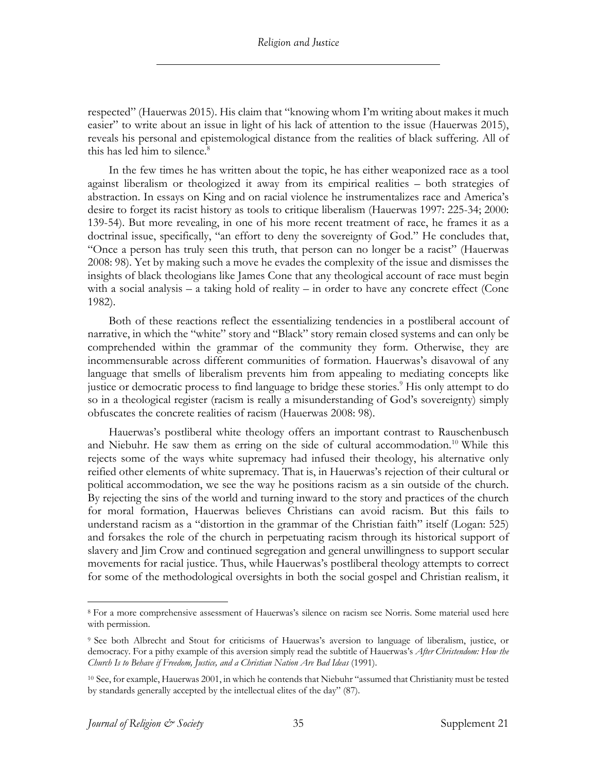respected" (Hauerwas 2015). His claim that "knowing whom I'm writing about makes it much easier" to write about an issue in light of his lack of attention to the issue (Hauerwas 2015), reveals his personal and epistemological distance from the realities of black suffering. All of this has led him to silence. 8

In the few times he has written about the topic, he has either weaponized race as a tool against liberalism or theologized it away from its empirical realities – both strategies of abstraction. In essays on King and on racial violence he instrumentalizes race and America's desire to forget its racist history as tools to critique liberalism (Hauerwas 1997: 225-34; 2000: 139-54). But more revealing, in one of his more recent treatment of race, he frames it as a doctrinal issue, specifically, "an effort to deny the sovereignty of God." He concludes that, "Once a person has truly seen this truth, that person can no longer be a racist" (Hauerwas 2008: 98). Yet by making such a move he evades the complexity of the issue and dismisses the insights of black theologians like James Cone that any theological account of race must begin with a social analysis – a taking hold of reality – in order to have any concrete effect (Cone 1982).

Both of these reactions reflect the essentializing tendencies in a postliberal account of narrative, in which the "white" story and "Black" story remain closed systems and can only be comprehended within the grammar of the community they form. Otherwise, they are incommensurable across different communities of formation. Hauerwas's disavowal of any language that smells of liberalism prevents him from appealing to mediating concepts like justice or democratic process to find language to bridge these stories.<sup>9</sup> His only attempt to do so in a theological register (racism is really a misunderstanding of God's sovereignty) simply obfuscates the concrete realities of racism (Hauerwas 2008: 98).

Hauerwas's postliberal white theology offers an important contrast to Rauschenbusch and Niebuhr. He saw them as erring on the side of cultural accommodation.<sup>10</sup> While this rejects some of the ways white supremacy had infused their theology, his alternative only reified other elements of white supremacy. That is, in Hauerwas's rejection of their cultural or political accommodation, we see the way he positions racism as a sin outside of the church. By rejecting the sins of the world and turning inward to the story and practices of the church for moral formation, Hauerwas believes Christians can avoid racism. But this fails to understand racism as a "distortion in the grammar of the Christian faith" itself (Logan: 525) and forsakes the role of the church in perpetuating racism through its historical support of slavery and Jim Crow and continued segregation and general unwillingness to support secular movements for racial justice. Thus, while Hauerwas's postliberal theology attempts to correct for some of the methodological oversights in both the social gospel and Christian realism, it

<sup>8</sup> For a more comprehensive assessment of Hauerwas's silence on racism see Norris. Some material used here with permission.

<sup>9</sup> See both Albrecht and Stout for criticisms of Hauerwas's aversion to language of liberalism, justice, or democracy. For a pithy example of this aversion simply read the subtitle of Hauerwas's *After Christendom: How the Church Is to Behave if Freedom, Justice, and a Christian Nation Are Bad Ideas* (1991).

<sup>10</sup> See, for example, Hauerwas 2001, in which he contends that Niebuhr "assumed that Christianity must be tested by standards generally accepted by the intellectual elites of the day" (87).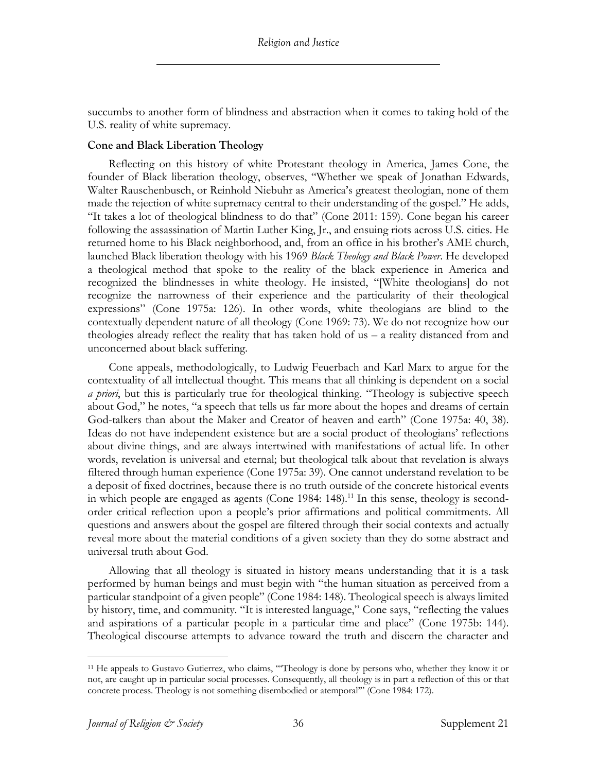succumbs to another form of blindness and abstraction when it comes to taking hold of the U.S. reality of white supremacy.

#### **Cone and Black Liberation Theology**

Reflecting on this history of white Protestant theology in America, James Cone, the founder of Black liberation theology, observes, "Whether we speak of Jonathan Edwards, Walter Rauschenbusch, or Reinhold Niebuhr as America's greatest theologian, none of them made the rejection of white supremacy central to their understanding of the gospel." He adds, "It takes a lot of theological blindness to do that" (Cone 2011: 159). Cone began his career following the assassination of Martin Luther King, Jr., and ensuing riots across U.S. cities. He returned home to his Black neighborhood, and, from an office in his brother's AME church, launched Black liberation theology with his 1969 *Black Theology and Black Power*. He developed a theological method that spoke to the reality of the black experience in America and recognized the blindnesses in white theology. He insisted, "[White theologians] do not recognize the narrowness of their experience and the particularity of their theological expressions" (Cone 1975a: 126). In other words, white theologians are blind to the contextually dependent nature of all theology (Cone 1969: 73). We do not recognize how our theologies already reflect the reality that has taken hold of us – a reality distanced from and unconcerned about black suffering.

Cone appeals, methodologically, to Ludwig Feuerbach and Karl Marx to argue for the contextuality of all intellectual thought. This means that all thinking is dependent on a social *a priori*, but this is particularly true for theological thinking. "Theology is subjective speech about God," he notes, "a speech that tells us far more about the hopes and dreams of certain God-talkers than about the Maker and Creator of heaven and earth" (Cone 1975a: 40, 38). Ideas do not have independent existence but are a social product of theologians' reflections about divine things, and are always intertwined with manifestations of actual life. In other words, revelation is universal and eternal; but theological talk about that revelation is always filtered through human experience (Cone 1975a: 39). One cannot understand revelation to be a deposit of fixed doctrines, because there is no truth outside of the concrete historical events in which people are engaged as agents (Cone 1984: 148).<sup>11</sup> In this sense, theology is secondorder critical reflection upon a people's prior affirmations and political commitments. All questions and answers about the gospel are filtered through their social contexts and actually reveal more about the material conditions of a given society than they do some abstract and universal truth about God.

Allowing that all theology is situated in history means understanding that it is a task performed by human beings and must begin with "the human situation as perceived from a particular standpoint of a given people" (Cone 1984: 148). Theological speech is always limited by history, time, and community. "It is interested language," Cone says, "reflecting the values and aspirations of a particular people in a particular time and place" (Cone 1975b: 144). Theological discourse attempts to advance toward the truth and discern the character and

<sup>&</sup>lt;sup>11</sup> He appeals to Gustavo Gutierrez, who claims, "Theology is done by persons who, whether they know it or not, are caught up in particular social processes. Consequently, all theology is in part a reflection of this or that concrete process. Theology is not something disembodied or atemporal'" (Cone 1984: 172).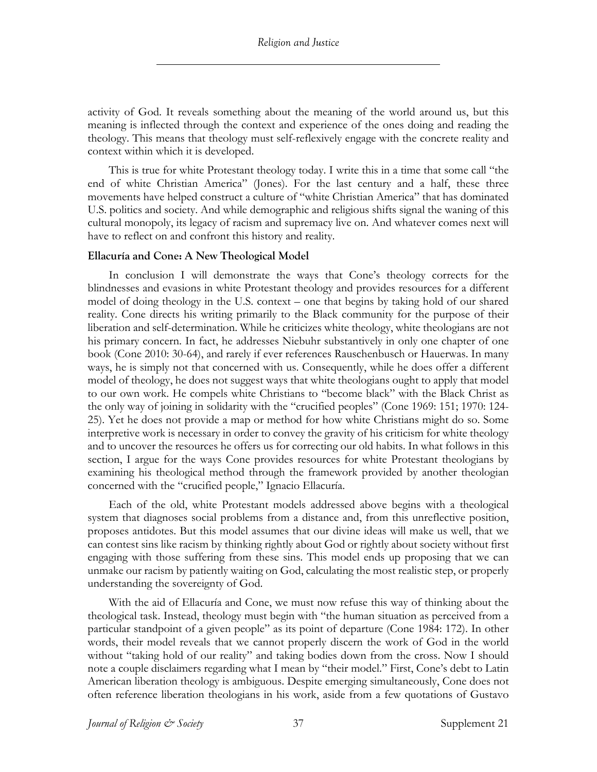activity of God. It reveals something about the meaning of the world around us, but this meaning is inflected through the context and experience of the ones doing and reading the theology. This means that theology must self-reflexively engage with the concrete reality and context within which it is developed.

This is true for white Protestant theology today. I write this in a time that some call "the end of white Christian America" (Jones). For the last century and a half, these three movements have helped construct a culture of "white Christian America" that has dominated U.S. politics and society. And while demographic and religious shifts signal the waning of this cultural monopoly, its legacy of racism and supremacy live on. And whatever comes next will have to reflect on and confront this history and reality.

#### **Ellacuría and Cone: A New Theological Model**

In conclusion I will demonstrate the ways that Cone's theology corrects for the blindnesses and evasions in white Protestant theology and provides resources for a different model of doing theology in the U.S. context – one that begins by taking hold of our shared reality. Cone directs his writing primarily to the Black community for the purpose of their liberation and self-determination. While he criticizes white theology, white theologians are not his primary concern. In fact, he addresses Niebuhr substantively in only one chapter of one book (Cone 2010: 30-64), and rarely if ever references Rauschenbusch or Hauerwas. In many ways, he is simply not that concerned with us. Consequently, while he does offer a different model of theology, he does not suggest ways that white theologians ought to apply that model to our own work. He compels white Christians to "become black" with the Black Christ as the only way of joining in solidarity with the "crucified peoples" (Cone 1969: 151; 1970: 124- 25). Yet he does not provide a map or method for how white Christians might do so. Some interpretive work is necessary in order to convey the gravity of his criticism for white theology and to uncover the resources he offers us for correcting our old habits. In what follows in this section, I argue for the ways Cone provides resources for white Protestant theologians by examining his theological method through the framework provided by another theologian concerned with the "crucified people," Ignacio Ellacuría.

Each of the old, white Protestant models addressed above begins with a theological system that diagnoses social problems from a distance and, from this unreflective position, proposes antidotes. But this model assumes that our divine ideas will make us well, that we can contest sins like racism by thinking rightly about God or rightly about society without first engaging with those suffering from these sins. This model ends up proposing that we can unmake our racism by patiently waiting on God, calculating the most realistic step, or properly understanding the sovereignty of God.

With the aid of Ellacuría and Cone, we must now refuse this way of thinking about the theological task. Instead, theology must begin with "the human situation as perceived from a particular standpoint of a given people" as its point of departure (Cone 1984: 172). In other words, their model reveals that we cannot properly discern the work of God in the world without "taking hold of our reality" and taking bodies down from the cross. Now I should note a couple disclaimers regarding what I mean by "their model." First, Cone's debt to Latin American liberation theology is ambiguous. Despite emerging simultaneously, Cone does not often reference liberation theologians in his work, aside from a few quotations of Gustavo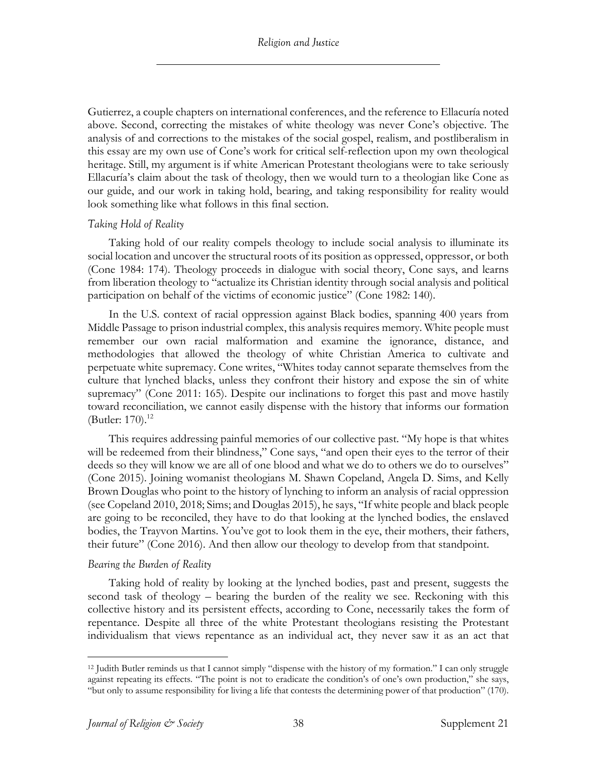Gutierrez, a couple chapters on international conferences, and the reference to Ellacuría noted above. Second, correcting the mistakes of white theology was never Cone's objective. The analysis of and corrections to the mistakes of the social gospel, realism, and postliberalism in this essay are my own use of Cone's work for critical self-reflection upon my own theological heritage. Still, my argument is if white American Protestant theologians were to take seriously Ellacuría's claim about the task of theology, then we would turn to a theologian like Cone as our guide, and our work in taking hold, bearing, and taking responsibility for reality would look something like what follows in this final section.

# *Taking Hold of Reality*

Taking hold of our reality compels theology to include social analysis to illuminate its social location and uncover the structural roots of its position as oppressed, oppressor, or both (Cone 1984: 174). Theology proceeds in dialogue with social theory, Cone says, and learns from liberation theology to "actualize its Christian identity through social analysis and political participation on behalf of the victims of economic justice" (Cone 1982: 140).

In the U.S. context of racial oppression against Black bodies, spanning 400 years from Middle Passage to prison industrial complex, this analysis requires memory. White people must remember our own racial malformation and examine the ignorance, distance, and methodologies that allowed the theology of white Christian America to cultivate and perpetuate white supremacy. Cone writes, "Whites today cannot separate themselves from the culture that lynched blacks, unless they confront their history and expose the sin of white supremacy" (Cone 2011: 165). Despite our inclinations to forget this past and move hastily toward reconciliation, we cannot easily dispense with the history that informs our formation (Butler: 170). 12

This requires addressing painful memories of our collective past. "My hope is that whites will be redeemed from their blindness," Cone says, "and open their eyes to the terror of their deeds so they will know we are all of one blood and what we do to others we do to ourselves" (Cone 2015). Joining womanist theologians M. Shawn Copeland, Angela D. Sims, and Kelly Brown Douglas who point to the history of lynching to inform an analysis of racial oppression (see Copeland 2010, 2018; Sims; and Douglas 2015), he says, "If white people and black people are going to be reconciled, they have to do that looking at the lynched bodies, the enslaved bodies, the Trayvon Martins. You've got to look them in the eye, their mothers, their fathers, their future" (Cone 2016). And then allow our theology to develop from that standpoint.

# *Bearing the Burden of Reality*

Taking hold of reality by looking at the lynched bodies, past and present, suggests the second task of theology – bearing the burden of the reality we see. Reckoning with this collective history and its persistent effects, according to Cone, necessarily takes the form of repentance. Despite all three of the white Protestant theologians resisting the Protestant individualism that views repentance as an individual act, they never saw it as an act that

<sup>&</sup>lt;sup>12</sup> Judith Butler reminds us that I cannot simply "dispense with the history of my formation." I can only struggle against repeating its effects. "The point is not to eradicate the condition's of one's own production," she says, "but only to assume responsibility for living a life that contests the determining power of that production" (170).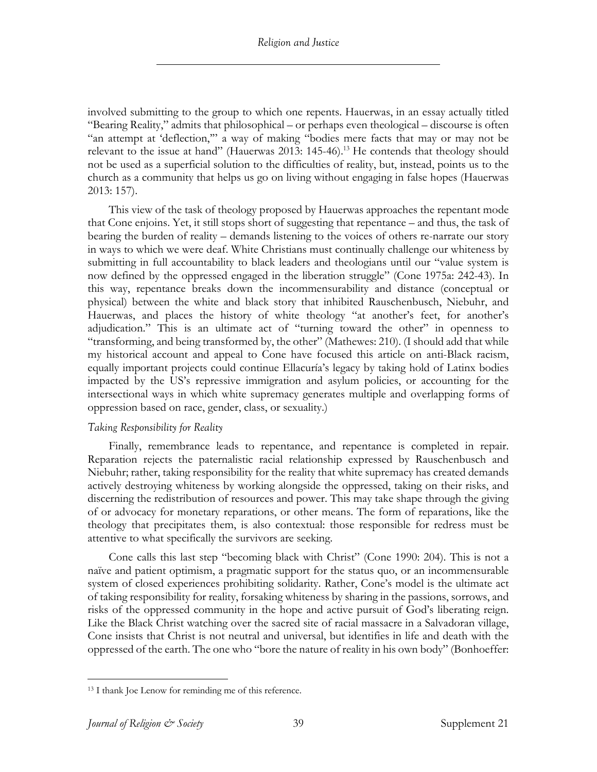involved submitting to the group to which one repents. Hauerwas, in an essay actually titled "Bearing Reality," admits that philosophical – or perhaps even theological – discourse is often "an attempt at 'deflection,'" a way of making "bodies mere facts that may or may not be relevant to the issue at hand" (Hauerwas 2013: 145-46).<sup>13</sup> He contends that theology should not be used as a superficial solution to the difficulties of reality, but, instead, points us to the church as a community that helps us go on living without engaging in false hopes (Hauerwas 2013: 157).

This view of the task of theology proposed by Hauerwas approaches the repentant mode that Cone enjoins. Yet, it still stops short of suggesting that repentance – and thus, the task of bearing the burden of reality – demands listening to the voices of others re-narrate our story in ways to which we were deaf. White Christians must continually challenge our whiteness by submitting in full accountability to black leaders and theologians until our "value system is now defined by the oppressed engaged in the liberation struggle" (Cone 1975a: 242-43). In this way, repentance breaks down the incommensurability and distance (conceptual or physical) between the white and black story that inhibited Rauschenbusch, Niebuhr, and Hauerwas, and places the history of white theology "at another's feet, for another's adjudication." This is an ultimate act of "turning toward the other" in openness to "transforming, and being transformed by, the other" (Mathewes: 210). (I should add that while my historical account and appeal to Cone have focused this article on anti-Black racism, equally important projects could continue Ellacuría's legacy by taking hold of Latinx bodies impacted by the US's repressive immigration and asylum policies, or accounting for the intersectional ways in which white supremacy generates multiple and overlapping forms of oppression based on race, gender, class, or sexuality.)

# *Taking Responsibility for Reality*

Finally, remembrance leads to repentance, and repentance is completed in repair. Reparation rejects the paternalistic racial relationship expressed by Rauschenbusch and Niebuhr; rather, taking responsibility for the reality that white supremacy has created demands actively destroying whiteness by working alongside the oppressed, taking on their risks, and discerning the redistribution of resources and power. This may take shape through the giving of or advocacy for monetary reparations, or other means. The form of reparations, like the theology that precipitates them, is also contextual: those responsible for redress must be attentive to what specifically the survivors are seeking.

Cone calls this last step "becoming black with Christ" (Cone 1990: 204). This is not a naïve and patient optimism, a pragmatic support for the status quo, or an incommensurable system of closed experiences prohibiting solidarity. Rather, Cone's model is the ultimate act of taking responsibility for reality, forsaking whiteness by sharing in the passions, sorrows, and risks of the oppressed community in the hope and active pursuit of God's liberating reign. Like the Black Christ watching over the sacred site of racial massacre in a Salvadoran village, Cone insists that Christ is not neutral and universal, but identifies in life and death with the oppressed of the earth. The one who "bore the nature of reality in his own body" (Bonhoeffer:

<sup>13</sup> I thank Joe Lenow for reminding me of this reference.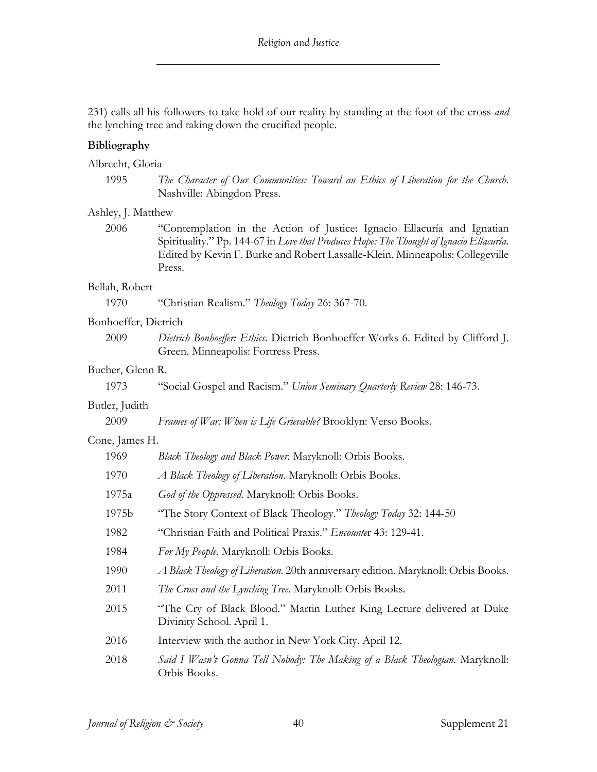231) calls all his followers to take hold of our reality by standing at the foot of the cross *and* the lynching tree and taking down the crucified people.

# **Bibliography**

Albrecht, Gloria

| 1995 | The Character of Our Communities: Toward an Ethics of Liberation for the Church. |
|------|----------------------------------------------------------------------------------|
|      | Nashville: Abingdon Press.                                                       |

#### Ashley, J. Matthew

2006 "Contemplation in the Action of Justice: Ignacio Ellacuría and Ignatian Spirituality." Pp. 144-67 in *Love that Produces Hope: The Thought of Ignacio Ellacuría*. Edited by Kevin F. Burke and Robert Lassalle-Klein. Minneapolis: Collegeville Press.

#### Bellah, Robert

1970 "Christian Realism." *Theology Today* 26: 367-70.

#### Bonhoeffer, Dietrich

2009 *Dietrich Bonhoeffer: Ethics*. Dietrich Bonhoeffer Works 6. Edited by Clifford J. Green. Minneapolis: Fortress Press.

# Bucher, Glenn R.

1973 "Social Gospel and Racism." *Union Seminary Quarterly Review* 28: 146-73.

# Butler, Judith

2009 *Frames of War: When is Life Grievable?* Brooklyn: Verso Books.

# Cone, James H.

| 1969  | Black Theology and Black Power. Maryknoll: Orbis Books.                                             |
|-------|-----------------------------------------------------------------------------------------------------|
| 1970  | A Black Theology of Liberation. Maryknoll: Orbis Books.                                             |
| 1975a | God of the Oppressed. Maryknoll: Orbis Books.                                                       |
| 1975b | "The Story Context of Black Theology." Theology Today 32: 144-50                                    |
| 1982  | "Christian Faith and Political Praxis." Encounter 43: 129-41.                                       |
| 1984  | For My People. Maryknoll: Orbis Books.                                                              |
| 1990  | A Black Theology of Liberation. 20th anniversary edition. Maryknoll: Orbis Books.                   |
| 2011  | The Cross and the Lynching Tree. Maryknoll: Orbis Books.                                            |
| 2015  | "The Cry of Black Blood." Martin Luther King Lecture delivered at Duke<br>Divinity School. April 1. |
| 2016  | Interview with the author in New York City. April 12.                                               |
| 2018  | Said I Wasn't Gonna Tell Nobody: The Making of a Black Theologian. Maryknoll:<br>Orbis Books.       |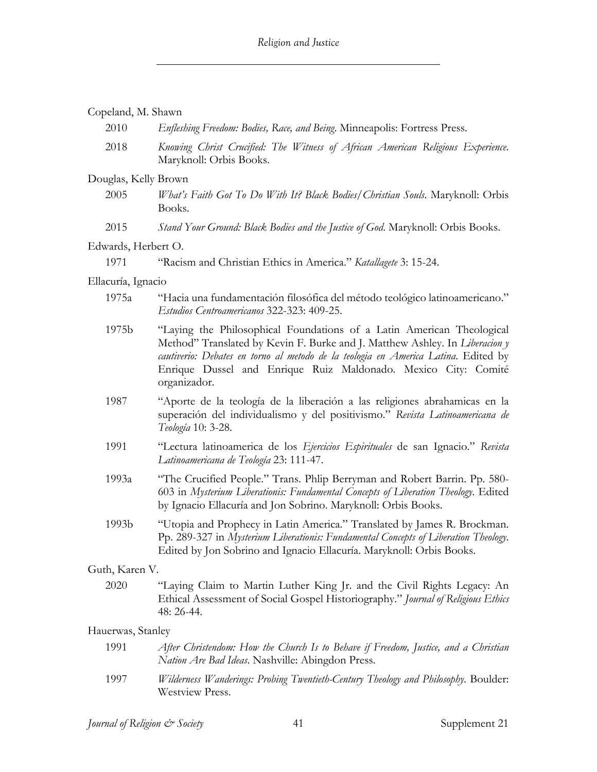| Copeland, M. Shawn |
|--------------------|
|--------------------|

| 2010                 | Enfleshing Freedom: Bodies, Race, and Being. Minneapolis: Fortress Press.                                                                                                                                                                                                                                                    |
|----------------------|------------------------------------------------------------------------------------------------------------------------------------------------------------------------------------------------------------------------------------------------------------------------------------------------------------------------------|
| 2018                 | Knowing Christ Crucified: The Witness of African American Religious Experience.<br>Maryknoll: Orbis Books.                                                                                                                                                                                                                   |
| Douglas, Kelly Brown |                                                                                                                                                                                                                                                                                                                              |
| 2005                 | What's Faith Got To Do With It? Black Bodies/Christian Souls. Maryknoll: Orbis<br>Books.                                                                                                                                                                                                                                     |
| 2015                 | Stand Your Ground: Black Bodies and the Justice of God. Maryknoll: Orbis Books.                                                                                                                                                                                                                                              |
| Edwards, Herbert O.  |                                                                                                                                                                                                                                                                                                                              |
| 1971                 | "Racism and Christian Ethics in America." Katallagete 3: 15-24.                                                                                                                                                                                                                                                              |
| Ellacuría, Ignacio   |                                                                                                                                                                                                                                                                                                                              |
| 1975a                | "Hacia una fundamentación filosófica del método teológico latinoamericano."<br>Estudios Centroamericanos 322-323: 409-25.                                                                                                                                                                                                    |
| 1975b                | "Laying the Philosophical Foundations of a Latin American Theological<br>Method" Translated by Kevin F. Burke and J. Matthew Ashley. In Liberacion y<br>cautiverio: Debates en torno al metodo de la teologia en America Latina. Edited by<br>Enrique Dussel and Enrique Ruiz Maldonado. Mexico City: Comité<br>organizador. |
| 1987                 | "Aporte de la teología de la liberación a las religiones abrahamicas en la<br>superación del individualismo y del positivismo." Revista Latinoamericana de<br>Teología 10: 3-28.                                                                                                                                             |
| 1991                 | "Lectura latinoamerica de los Ejercicios Espirituales de san Ignacio." Revista<br>Latinoamericana de Teología 23: 111-47.                                                                                                                                                                                                    |
| 1993a                | "The Crucified People." Trans. Phlip Berryman and Robert Barrin. Pp. 580-<br>603 in Mysterium Liberationis: Fundamental Concepts of Liberation Theology. Edited<br>by Ignacio Ellacuría and Jon Sobrino. Maryknoll: Orbis Books.                                                                                             |
| 1993b                | "Utopia and Prophecy in Latin America." Translated by James R. Brockman.<br>Pp. 289-327 in Mysterium Liberationis: Fundamental Concepts of Liberation Theology.<br>Edited by Jon Sobrino and Ignacio Ellacuría. Maryknoll: Orbis Books.                                                                                      |
| Guth, Karen V.       |                                                                                                                                                                                                                                                                                                                              |
| 2020                 | "Laying Claim to Martin Luther King Jr. and the Civil Rights Legacy: An<br>Ethical Assessment of Social Gospel Historiography." Journal of Religious Ethics<br>48: 26-44.                                                                                                                                                    |
| Hauerwas, Stanley    |                                                                                                                                                                                                                                                                                                                              |
| 1991                 | After Christendom: How the Church Is to Behave if Freedom, Justice, and a Christian<br>Nation Are Bad Ideas. Nashville: Abingdon Press.                                                                                                                                                                                      |
| 1997                 | Wilderness Wanderings: Probing Twentieth-Century Theology and Philosophy. Boulder:<br>Westview Press.                                                                                                                                                                                                                        |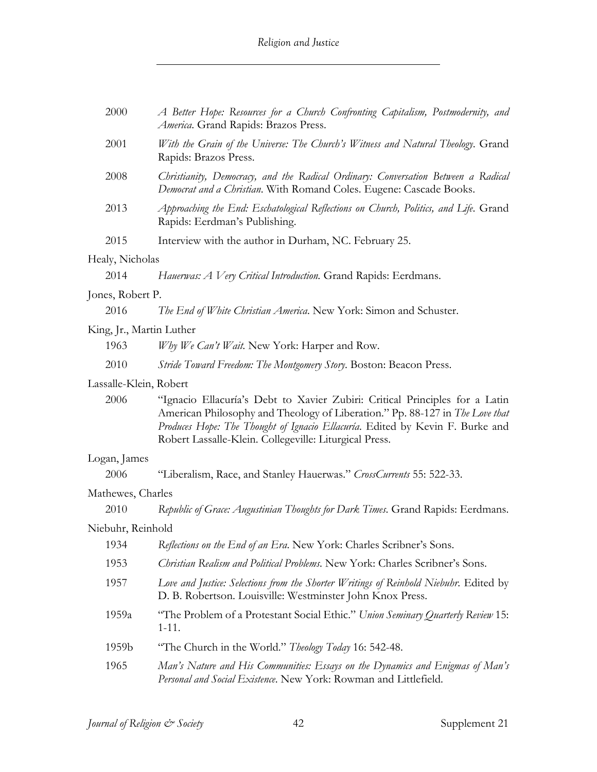| 2000                     | A Better Hope: Resources for a Church Confronting Capitalism, Postmodernity, and<br>America. Grand Rapids: Brazos Press.                                                                                                                                                                               |
|--------------------------|--------------------------------------------------------------------------------------------------------------------------------------------------------------------------------------------------------------------------------------------------------------------------------------------------------|
| 2001                     | With the Grain of the Universe: The Church's Witness and Natural Theology. Grand<br>Rapids: Brazos Press.                                                                                                                                                                                              |
| 2008                     | Christianity, Democracy, and the Radical Ordinary: Conversation Between a Radical<br>Democrat and a Christian. With Romand Coles. Eugene: Cascade Books.                                                                                                                                               |
| 2013                     | Approaching the End: Eschatological Reflections on Church, Politics, and Life. Grand<br>Rapids: Eerdman's Publishing.                                                                                                                                                                                  |
| 2015                     | Interview with the author in Durham, NC. February 25.                                                                                                                                                                                                                                                  |
| Healy, Nicholas          |                                                                                                                                                                                                                                                                                                        |
| 2014                     | Hauerwas: A Very Critical Introduction. Grand Rapids: Eerdmans.                                                                                                                                                                                                                                        |
| Jones, Robert P.         |                                                                                                                                                                                                                                                                                                        |
| 2016                     | The End of White Christian America. New York: Simon and Schuster.                                                                                                                                                                                                                                      |
| King, Jr., Martin Luther |                                                                                                                                                                                                                                                                                                        |
| 1963                     | Why We Can't Wait. New York: Harper and Row.                                                                                                                                                                                                                                                           |
| 2010                     | Stride Toward Freedom: The Montgomery Story. Boston: Beacon Press.                                                                                                                                                                                                                                     |
| Lassalle-Klein, Robert   |                                                                                                                                                                                                                                                                                                        |
| 2006                     | "Ignacio Ellacuría's Debt to Xavier Zubiri: Critical Principles for a Latin<br>American Philosophy and Theology of Liberation." Pp. 88-127 in The Love that<br>Produces Hope: The Thought of Ignacio Ellacuría. Edited by Kevin F. Burke and<br>Robert Lassalle-Klein. Collegeville: Liturgical Press. |
| Logan, James             |                                                                                                                                                                                                                                                                                                        |
| 2006                     | "Liberalism, Race, and Stanley Hauerwas." CrossCurrents 55: 522-33.                                                                                                                                                                                                                                    |
| Mathewes, Charles        |                                                                                                                                                                                                                                                                                                        |
| 2010                     | Republic of Grace: Augustinian Thoughts for Dark Times. Grand Rapids: Eerdmans.                                                                                                                                                                                                                        |
| Niebuhr, Reinhold        |                                                                                                                                                                                                                                                                                                        |
| 1934                     | Reflections on the End of an Era. New York: Charles Scribner's Sons.                                                                                                                                                                                                                                   |
| 1953                     | Christian Realism and Political Problems. New York: Charles Scribner's Sons.                                                                                                                                                                                                                           |
| 1957                     | Love and Justice: Selections from the Shorter Writings of Reinhold Niebuhr. Edited by<br>D. B. Robertson. Louisville: Westminster John Knox Press.                                                                                                                                                     |
| 1959a                    | "The Problem of a Protestant Social Ethic." Union Seminary Quarterly Review 15:<br>$1-11.$                                                                                                                                                                                                             |
| 1959b                    | "The Church in the World." Theology Today 16: 542-48.                                                                                                                                                                                                                                                  |
| 1965                     | Man's Nature and His Communities: Essays on the Dynamics and Enigmas of Man's<br>Personal and Social Existence. New York: Rowman and Littlefield.                                                                                                                                                      |